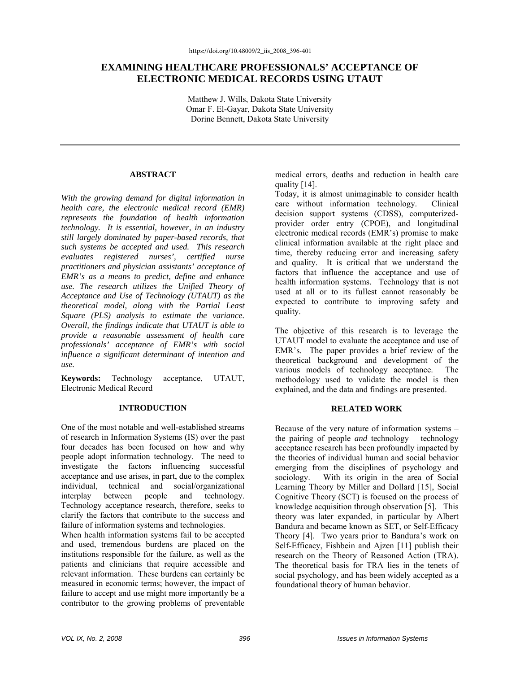# **EXAMINING HEALTHCARE PROFESSIONALS' ACCEPTANCE OF ELECTRONIC MEDICAL RECORDS USING UTAUT**

Matthew J. Wills, Dakota State University Omar F. El-Gayar, Dakota State University Dorine Bennett, Dakota State University

#### **ABSTRACT**

*With the growing demand for digital information in health care, the electronic medical record (EMR) represents the foundation of health information technology. It is essential, however, in an industry still largely dominated by paper-based records, that such systems be accepted and used. This research evaluates registered nurses', certified nurse practitioners and physician assistants' acceptance of EMR's as a means to predict, define and enhance use. The research utilizes the Unified Theory of Acceptance and Use of Technology (UTAUT) as the theoretical model, along with the Partial Least Square (PLS) analysis to estimate the variance. Overall, the findings indicate that UTAUT is able to provide a reasonable assessment of health care professionals' acceptance of EMR's with social influence a significant determinant of intention and use.* 

**Keywords:** Technology acceptance, UTAUT, Electronic Medical Record

### **INTRODUCTION**

One of the most notable and well-established streams of research in Information Systems (IS) over the past four decades has been focused on how and why people adopt information technology. The need to investigate the factors influencing successful acceptance and use arises, in part, due to the complex individual, technical and social/organizational interplay between people and technology. Technology acceptance research, therefore, seeks to clarify the factors that contribute to the success and failure of information systems and technologies.

When health information systems fail to be accepted and used, tremendous burdens are placed on the institutions responsible for the failure, as well as the patients and clinicians that require accessible and relevant information. These burdens can certainly be measured in economic terms; however, the impact of failure to accept and use might more importantly be a contributor to the growing problems of preventable

medical errors, deaths and reduction in health care quality [14].

Today, it is almost unimaginable to consider health care without information technology. Clinical decision support systems (CDSS), computerizedprovider order entry (CPOE), and longitudinal electronic medical records (EMR's) promise to make clinical information available at the right place and time, thereby reducing error and increasing safety and quality. It is critical that we understand the factors that influence the acceptance and use of health information systems. Technology that is not used at all or to its fullest cannot reasonably be expected to contribute to improving safety and quality.

The objective of this research is to leverage the UTAUT model to evaluate the acceptance and use of EMR's. The paper provides a brief review of the theoretical background and development of the various models of technology acceptance. The methodology used to validate the model is then explained, and the data and findings are presented.

#### **RELATED WORK**

Because of the very nature of information systems – the pairing of people *and* technology – technology acceptance research has been profoundly impacted by the theories of individual human and social behavior emerging from the disciplines of psychology and sociology. With its origin in the area of Social Learning Theory by Miller and Dollard [15], Social Cognitive Theory (SCT) is focused on the process of knowledge acquisition through observation [5]. This theory was later expanded, in particular by Albert Bandura and became known as SET, or Self-Efficacy Theory [4]. Two years prior to Bandura's work on Self-Efficacy, Fishbein and Ajzen [11] publish their research on the Theory of Reasoned Action (TRA). The theoretical basis for TRA lies in the tenets of social psychology, and has been widely accepted as a foundational theory of human behavior.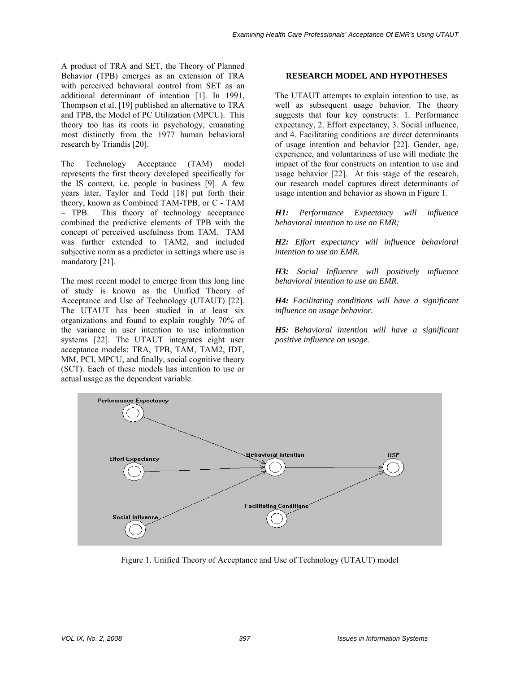A product of TRA and SET, the Theory of Planned Behavior (TPB) emerges as an extension of TRA with perceived behavioral control from SET as an additional determinant of intention [1]. In 1991, Thompson et al. [19] published an alternative to TRA and TPB, the Model of PC Utilization (MPCU). This theory too has its roots in psychology, emanating most distinctly from the 1977 human behavioral research by Triandis [20].

The Technology Acceptance (TAM) model represents the first theory developed specifically for the IS context, i.e. people in business [9]. A few years later, Taylor and Todd [18] put forth their theory, known as Combined TAM-TPB, or C - TAM – TPB. This theory of technology acceptance combined the predictive elements of TPB with the concept of perceived usefulness from TAM. TAM was further extended to TAM2, and included subjective norm as a predictor in settings where use is mandatory [21].

The most recent model to emerge from this long line of study is known as the Unified Theory of Acceptance and Use of Technology (UTAUT) [22]. The UTAUT has been studied in at least six organizations and found to explain roughly 70% of the variance in user intention to use information systems [22]. The UTAUT integrates eight user acceptance models: TRA, TPB, TAM, TAM2, IDT, MM, PCI, MPCU, and finally, social cognitive theory (SCT). Each of these models has intention to use or actual usage as the dependent variable.

### **RESEARCH MODEL AND HYPOTHESES**

The UTAUT attempts to explain intention to use, as well as subsequent usage behavior. The theory suggests that four key constructs: 1. Performance expectancy, 2. Effort expectancy, 3. Social influence, and 4. Facilitating conditions are direct determinants of usage intention and behavior [22]. Gender, age, experience, and voluntariness of use will mediate the impact of the four constructs on intention to use and usage behavior [22]. At this stage of the research, our research model captures direct determinants of usage intention and behavior as shown in Figure 1.

*H1: Performance Expectancy will influence behavioral intention to use an EMR;* 

*H2: Effort expectancy will influence behavioral intention to use an EMR.* 

*H3: Social Influence will positively influence behavioral intention to use an EMR.* 

*H4: Facilitating conditions will have a significant influence on usage behavior.* 

*H5: Behavioral intention will have a significant positive influence on usage.* 



Figure 1. Unified Theory of Acceptance and Use of Technology (UTAUT) model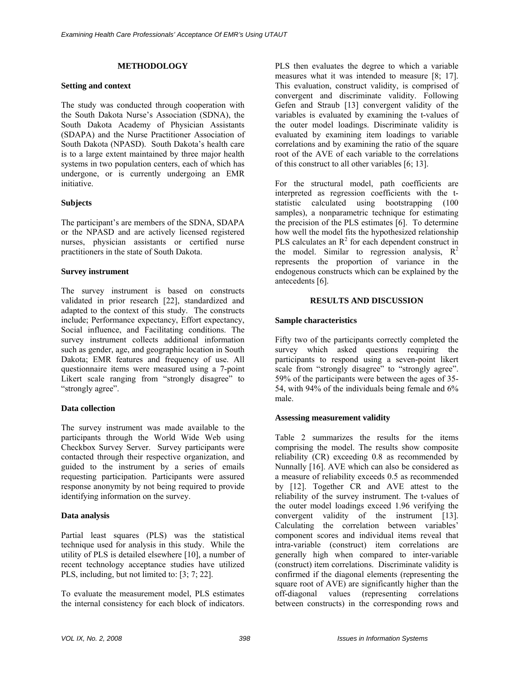## **METHODOLOGY**

### **Setting and context**

The study was conducted through cooperation with the South Dakota Nurse's Association (SDNA), the South Dakota Academy of Physician Assistants (SDAPA) and the Nurse Practitioner Association of South Dakota (NPASD). South Dakota's health care is to a large extent maintained by three major health systems in two population centers, each of which has undergone, or is currently undergoing an EMR initiative.

## **Subjects**

The participant's are members of the SDNA, SDAPA or the NPASD and are actively licensed registered nurses, physician assistants or certified nurse practitioners in the state of South Dakota.

## **Survey instrument**

The survey instrument is based on constructs validated in prior research [22], standardized and adapted to the context of this study. The constructs include; Performance expectancy, Effort expectancy, Social influence, and Facilitating conditions. The survey instrument collects additional information such as gender, age, and geographic location in South Dakota; EMR features and frequency of use. All questionnaire items were measured using a 7-point Likert scale ranging from "strongly disagree" to "strongly agree".

# **Data collection**

The survey instrument was made available to the participants through the World Wide Web using Checkbox Survey Server. Survey participants were contacted through their respective organization, and guided to the instrument by a series of emails requesting participation. Participants were assured response anonymity by not being required to provide identifying information on the survey.

# **Data analysis**

Partial least squares (PLS) was the statistical technique used for analysis in this study. While the utility of PLS is detailed elsewhere [10], a number of recent technology acceptance studies have utilized PLS, including, but not limited to: [3; 7; 22].

To evaluate the measurement model, PLS estimates the internal consistency for each block of indicators.

PLS then evaluates the degree to which a variable measures what it was intended to measure [8; 17]. This evaluation, construct validity, is comprised of convergent and discriminate validity. Following Gefen and Straub [13] convergent validity of the variables is evaluated by examining the t-values of the outer model loadings. Discriminate validity is evaluated by examining item loadings to variable correlations and by examining the ratio of the square root of the AVE of each variable to the correlations of this construct to all other variables [6; 13].

For the structural model, path coefficients are interpreted as regression coefficients with the tstatistic calculated using bootstrapping (100 samples), a nonparametric technique for estimating the precision of the PLS estimates [6]. To determine how well the model fits the hypothesized relationship PLS calculates an  $R^2$  for each dependent construct in the model. Similar to regression analysis,  $R^2$ represents the proportion of variance in the endogenous constructs which can be explained by the antecedents [6].

### **RESULTS AND DISCUSSION**

## **Sample characteristics**

Fifty two of the participants correctly completed the survey which asked questions requiring the participants to respond using a seven-point likert scale from "strongly disagree" to "strongly agree". 59% of the participants were between the ages of 35- 54, with 94% of the individuals being female and 6% male.

### **Assessing measurement validity**

Table 2 summarizes the results for the items comprising the model. The results show composite reliability (CR) exceeding 0.8 as recommended by Nunnally [16]. AVE which can also be considered as a measure of reliability exceeds 0.5 as recommended by [12]. Together CR and AVE attest to the reliability of the survey instrument. The t-values of the outer model loadings exceed 1.96 verifying the convergent validity of the instrument [13]. Calculating the correlation between variables' component scores and individual items reveal that intra-variable (construct) item correlations are generally high when compared to inter-variable (construct) item correlations. Discriminate validity is confirmed if the diagonal elements (representing the square root of AVE) are significantly higher than the off-diagonal values (representing correlations between constructs) in the corresponding rows and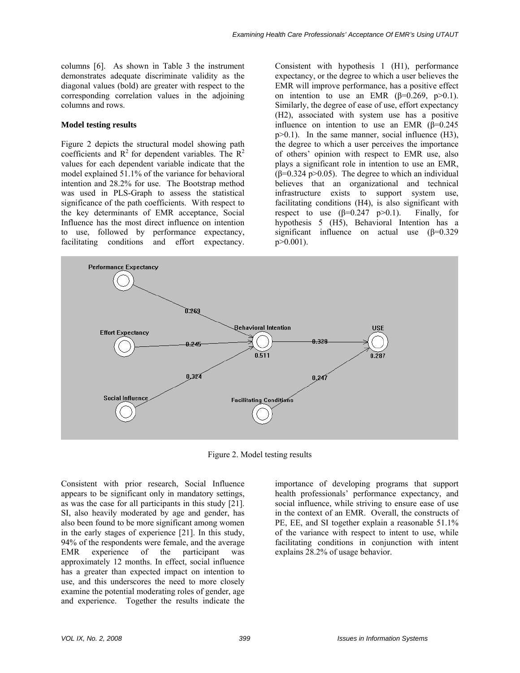columns [6]. As shown in Table 3 the instrument demonstrates adequate discriminate validity as the diagonal values (bold) are greater with respect to the corresponding correlation values in the adjoining columns and rows.

### **Model testing results**

Figure 2 depicts the structural model showing path coefficients and  $R^2$  for dependent variables. The  $R^2$ values for each dependent variable indicate that the model explained 51.1% of the variance for behavioral intention and 28.2% for use. The Bootstrap method was used in PLS-Graph to assess the statistical significance of the path coefficients. With respect to the key determinants of EMR acceptance, Social Influence has the most direct influence on intention to use, followed by performance expectancy, facilitating conditions and effort expectancy.

Consistent with hypothesis 1 (H1), performance expectancy, or the degree to which a user believes the EMR will improve performance, has a positive effect on intention to use an EMR  $(\beta=0.269, p>0.1)$ . Similarly, the degree of ease of use, effort expectancy (H2), associated with system use has a positive influence on intention to use an EMR  $(\beta=0.245$ p>0.1). In the same manner, social influence (H3), the degree to which a user perceives the importance of others' opinion with respect to EMR use, also plays a significant role in intention to use an EMR,  $(\beta=0.324 \text{ p} > 0.05)$ . The degree to which an individual believes that an organizational and technical infrastructure exists to support system use, facilitating conditions (H4), is also significant with respect to use  $(\beta=0.247 \text{ p}>0.1)$ . Finally, for hypothesis 5 (H5), Behavioral Intention has a significant influence on actual use  $(\beta=0.329)$  $p > 0.001$ ).



Figure 2. Model testing results

Consistent with prior research, Social Influence appears to be significant only in mandatory settings, as was the case for all participants in this study [21]. SI, also heavily moderated by age and gender, has also been found to be more significant among women in the early stages of experience [21]. In this study, 94% of the respondents were female, and the average EMR experience of the participant was approximately 12 months. In effect, social influence has a greater than expected impact on intention to use, and this underscores the need to more closely examine the potential moderating roles of gender, age and experience. Together the results indicate the

importance of developing programs that support health professionals' performance expectancy, and social influence, while striving to ensure ease of use in the context of an EMR. Overall, the constructs of PE, EE, and SI together explain a reasonable 51.1% of the variance with respect to intent to use, while facilitating conditions in conjunction with intent explains 28.2% of usage behavior.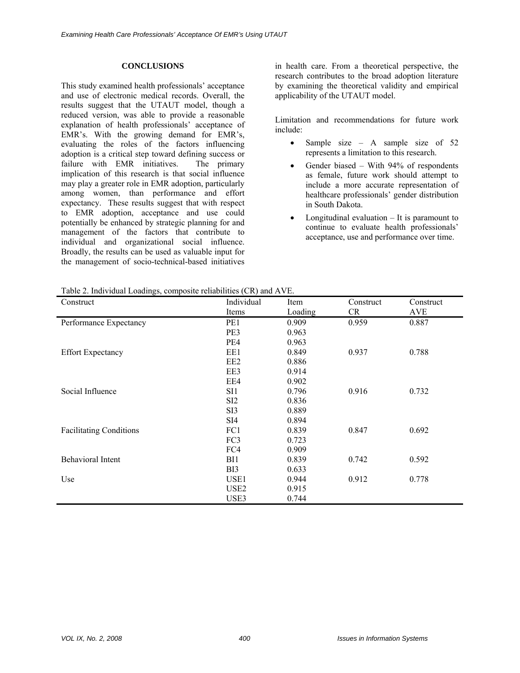### **CONCLUSIONS**

This study examined health professionals' acceptance and use of electronic medical records. Overall, the results suggest that the UTAUT model, though a reduced version, was able to provide a reasonable explanation of health professionals' acceptance of EMR's. With the growing demand for EMR's, evaluating the roles of the factors influencing adoption is a critical step toward defining success or failure with EMR initiatives. The primary implication of this research is that social influence may play a greater role in EMR adoption, particularly among women, than performance and effort expectancy. These results suggest that with respect to EMR adoption, acceptance and use could potentially be enhanced by strategic planning for and management of the factors that contribute to individual and organizational social influence. Broadly, the results can be used as valuable input for the management of socio-technical-based initiatives

in health care. From a theoretical perspective, the research contributes to the broad adoption literature by examining the theoretical validity and empirical applicability of the UTAUT model.

Limitation and recommendations for future work include:

- Sample size A sample size of  $52$ represents a limitation to this research.
- Gender biased With  $94\%$  of respondents as female, future work should attempt to include a more accurate representation of healthcare professionals' gender distribution in South Dakota.
- Longitudinal evaluation  $-$  It is paramount to continue to evaluate health professionals' acceptance, use and performance over time.

|  |  | Table 2. Individual Loadings, composite reliabilities (CR) and AVE. |  |  |  |  |
|--|--|---------------------------------------------------------------------|--|--|--|--|
|--|--|---------------------------------------------------------------------|--|--|--|--|

| Construct                      | Individual       | Item    | Construct | Construct |
|--------------------------------|------------------|---------|-----------|-----------|
|                                | Items            | Loading | CR        | AVE       |
| Performance Expectancy         | PE1              | 0.909   | 0.959     | 0.887     |
|                                | PE3              | 0.963   |           |           |
|                                | PE4              | 0.963   |           |           |
| <b>Effort Expectancy</b>       | EE1              | 0.849   | 0.937     | 0.788     |
|                                | EE <sub>2</sub>  | 0.886   |           |           |
|                                | EE3              | 0.914   |           |           |
|                                | EE4              | 0.902   |           |           |
| Social Influence               | SI1              | 0.796   | 0.916     | 0.732     |
|                                | SI <sub>2</sub>  | 0.836   |           |           |
|                                | SI <sub>3</sub>  | 0.889   |           |           |
|                                | SI <sub>4</sub>  | 0.894   |           |           |
| <b>Facilitating Conditions</b> | FC1              | 0.839   | 0.847     | 0.692     |
|                                | FC <sub>3</sub>  | 0.723   |           |           |
|                                | FC4              | 0.909   |           |           |
| <b>Behavioral Intent</b>       | BI1              | 0.839   | 0.742     | 0.592     |
|                                | B <sub>I3</sub>  | 0.633   |           |           |
| Use                            | USE <sub>1</sub> | 0.944   | 0.912     | 0.778     |
|                                | USE <sub>2</sub> | 0.915   |           |           |
|                                | USE3             | 0.744   |           |           |